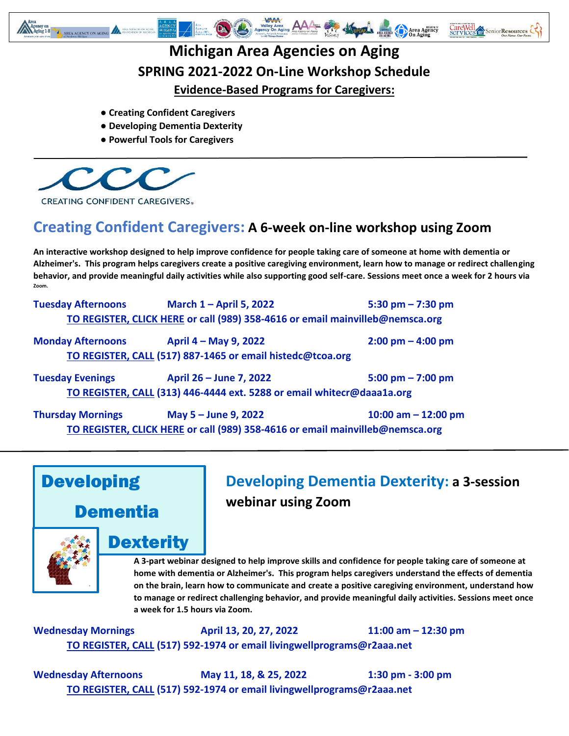

### **Michigan Area Agencies on Aging SPRING 2021-2022 On-Line Workshop Schedule Evidence-Based Programs for Caregivers:**

- **● Creating Confident Caregivers**
- **Developing Dementia Dexterity**
- **Powerful Tools for Caregivers**



**Creating Confident Caregivers: A 6-week on-line workshop using Zoom**

**An interactive workshop designed to help improve confidence for people taking care of someone at home with dementia or Alzheimer's. This program helps caregivers create a positive caregiving environment, learn how to manage or redirect challenging behavior, and provide meaningful daily activities while also supporting good self-care. Sessions meet once a week for 2 hours via Zoom.** 

| <b>Tuesday Afternoons</b> | March 1 - April 5, 2022                                                       | 5:30 pm $- 7:30$ pm                 |
|---------------------------|-------------------------------------------------------------------------------|-------------------------------------|
|                           | TO REGISTER, CLICK HERE or call (989) 358-4616 or email mainvilleb@nemsca.org |                                     |
| <b>Monday Afternoons</b>  | April 4 – May 9, 2022                                                         | $2:00 \text{ pm} - 4:00 \text{ pm}$ |
|                           | TO REGISTER, CALL (517) 887-1465 or email histedc@tcoa.org                    |                                     |
|                           |                                                                               |                                     |

**Tuesday Evenings April 26 – June 7, 2022 5:00 pm – 7:00 pm TO REGISTER, CALL (313) 446-4444 ext. 5288 or email [whitecr@daaa1a.org](mailto:whitecr@daaa1a.org)**

**Thursday Mornings May 5 – June 9, 2022 10:00 am – 12:00 pm TO REGISTER, CLICK HERE [or call \(989\) 358-4616 or email mainvilleb@nemsca.org](https://docs.google.com/forms/d/e/1FAIpQLScrocvnneO0A0xYhnyjK8u7L0Hm5Nr3aWbexnRxmxbNQ2AN6A/viewform)**

# Developing

Dementia



#### **Dexterity**

# **Developing Dementia Dexterity: a 3-session webinar using Zoom**

**A 3-part webinar designed to help improve skills and confidence for people taking care of someone at home with dementia or Alzheimer's. This program helps caregivers understand the effects of dementia on the brain, learn how to communicate and create a positive caregiving environment, understand how to manage or redirect challenging behavior, and provide meaningful daily activities. Sessions meet once a week for 1.5 hours via Zoom.** 

**Wednesday Mornings April 13, 20, 27, 2022 11:00 am – 12:30 pm [TO REGISTER,](mailto:TO%20REGISTER) CALL (517) 592-1974 or [email livingwellprograms@r2aaa.net](mailto:livingwellprograms@r2aaa.net)**

**Wednesday Afternoons May 11, 18, & 25, 2022 1:30 pm - 3:00 pm [TO REGISTER,](mailto:TO%20REGISTER) CALL (517) 592-1974 or [email livingwellprograms@r2aaa.net](mailto:livingwellprograms@r2aaa.net)**